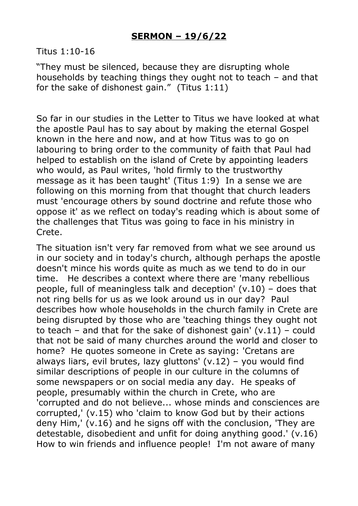Titus 1:10-16

"They must be silenced, because they are disrupting whole households by teaching things they ought not to teach – and that for the sake of dishonest gain." (Titus 1:11)

So far in our studies in the Letter to Titus we have looked at what the apostle Paul has to say about by making the eternal Gospel known in the here and now, and at how Titus was to go on labouring to bring order to the community of faith that Paul had helped to establish on the island of Crete by appointing leaders who would, as Paul writes, 'hold firmly to the trustworthy message as it has been taught' (Titus 1:9) In a sense we are following on this morning from that thought that church leaders must 'encourage others by sound doctrine and refute those who oppose it' as we reflect on today's reading which is about some of the challenges that Titus was going to face in his ministry in Crete.

The situation isn't very far removed from what we see around us in our society and in today's church, although perhaps the apostle doesn't mince his words quite as much as we tend to do in our time. He describes a context where there are 'many rebellious people, full of meaningless talk and deception' (v.10) – does that not ring bells for us as we look around us in our day? Paul describes how whole households in the church family in Crete are being disrupted by those who are 'teaching things they ought not to teach – and that for the sake of dishonest gain'  $(v.11)$  – could that not be said of many churches around the world and closer to home? He quotes someone in Crete as saying: 'Cretans are always liars, evil brutes, lazy gluttons'  $(v.12)$  – you would find similar descriptions of people in our culture in the columns of some newspapers or on social media any day. He speaks of people, presumably within the church in Crete, who are 'corrupted and do not believe... whose minds and consciences are corrupted,' (v.15) who 'claim to know God but by their actions deny Him,' (v.16) and he signs off with the conclusion, 'They are detestable, disobedient and unfit for doing anything good.' (v.16) How to win friends and influence people! I'm not aware of many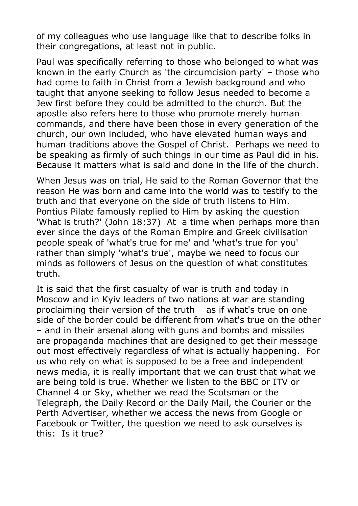of my colleagues who use language like that to describe folks in their congregations, at least not in public.

Paul was specifically referring to those who belonged to what was known in the early Church as 'the circumcision party' – those who had come to faith in Christ from a Jewish background and who taught that anyone seeking to follow Jesus needed to become a Jew first before they could be admitted to the church. But the apostle also refers here to those who promote merely human commands, and there have been those in every generation of the church, our own included, who have elevated human ways and human traditions above the Gospel of Christ. Perhaps we need to be speaking as firmly of such things in our time as Paul did in his. Because it matters what is said and done in the life of the church.

When Jesus was on trial, He said to the Roman Governor that the reason He was born and came into the world was to testify to the truth and that everyone on the side of truth listens to Him. Pontius Pilate famously replied to Him by asking the question 'What is truth?' (John 18:37) At a time when perhaps more than ever since the days of the Roman Empire and Greek civilisation people speak of 'what's true for me' and 'what's true for you' rather than simply 'what's true', maybe we need to focus our minds as followers of Jesus on the question of what constitutes truth.

It is said that the first casualty of war is truth and today in Moscow and in Kyiv leaders of two nations at war are standing proclaiming their version of the truth – as if what's true on one side of the border could be different from what's true on the other – and in their arsenal along with guns and bombs and missiles are propaganda machines that are designed to get their message out most effectively regardless of what is actually happening. For us who rely on what is supposed to be a free and independent news media, it is really important that we can trust that what we are being told is true. Whether we listen to the BBC or ITV or Channel 4 or Sky, whether we read the Scotsman or the Telegraph, the Daily Record or the Daily Mail, the Courier or the Perth Advertiser, whether we access the news from Google or Facebook or Twitter, the question we need to ask ourselves is this: Is it true?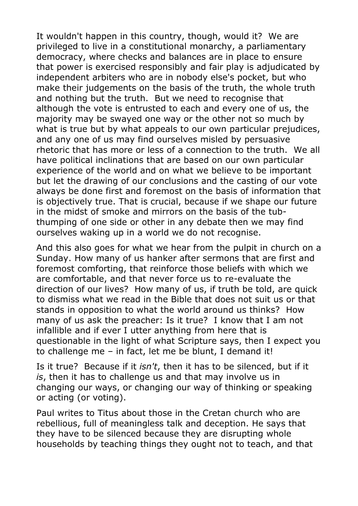It wouldn't happen in this country, though, would it? We are privileged to live in a constitutional monarchy, a parliamentary democracy, where checks and balances are in place to ensure that power is exercised responsibly and fair play is adjudicated by independent arbiters who are in nobody else's pocket, but who make their judgements on the basis of the truth, the whole truth and nothing but the truth. But we need to recognise that although the vote is entrusted to each and every one of us, the majority may be swayed one way or the other not so much by what is true but by what appeals to our own particular prejudices, and any one of us may find ourselves misled by persuasive rhetoric that has more or less of a connection to the truth. We all have political inclinations that are based on our own particular experience of the world and on what we believe to be important but let the drawing of our conclusions and the casting of our vote always be done first and foremost on the basis of information that is objectively true. That is crucial, because if we shape our future in the midst of smoke and mirrors on the basis of the tubthumping of one side or other in any debate then we may find ourselves waking up in a world we do not recognise.

And this also goes for what we hear from the pulpit in church on a Sunday. How many of us hanker after sermons that are first and foremost comforting, that reinforce those beliefs with which we are comfortable, and that never force us to re-evaluate the direction of our lives? How many of us, if truth be told, are quick to dismiss what we read in the Bible that does not suit us or that stands in opposition to what the world around us thinks? How many of us ask the preacher: Is it true? I know that I am not infallible and if ever I utter anything from here that is questionable in the light of what Scripture says, then I expect you to challenge me – in fact, let me be blunt, I demand it!

Is it true? Because if it *isn't*, then it has to be silenced, but if it *is*, then it has to challenge us and that may involve us in changing our ways, or changing our way of thinking or speaking or acting (or voting).

Paul writes to Titus about those in the Cretan church who are rebellious, full of meaningless talk and deception. He says that they have to be silenced because they are disrupting whole households by teaching things they ought not to teach, and that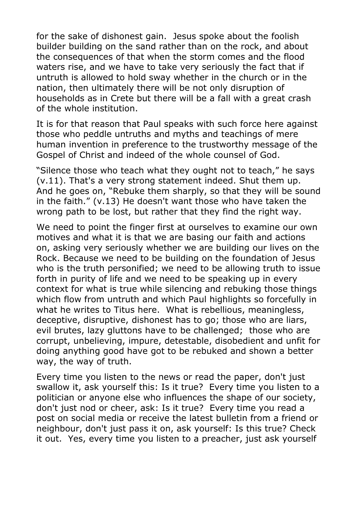for the sake of dishonest gain. Jesus spoke about the foolish builder building on the sand rather than on the rock, and about the consequences of that when the storm comes and the flood waters rise, and we have to take very seriously the fact that if untruth is allowed to hold sway whether in the church or in the nation, then ultimately there will be not only disruption of households as in Crete but there will be a fall with a great crash of the whole institution.

It is for that reason that Paul speaks with such force here against those who peddle untruths and myths and teachings of mere human invention in preference to the trustworthy message of the Gospel of Christ and indeed of the whole counsel of God.

"Silence those who teach what they ought not to teach," he says (v.11). That's a very strong statement indeed. Shut them up. And he goes on, "Rebuke them sharply, so that they will be sound in the faith." (v.13) He doesn't want those who have taken the wrong path to be lost, but rather that they find the right way.

We need to point the finger first at ourselves to examine our own motives and what it is that we are basing our faith and actions on, asking very seriously whether we are building our lives on the Rock. Because we need to be building on the foundation of Jesus who is the truth personified; we need to be allowing truth to issue forth in purity of life and we need to be speaking up in every context for what is true while silencing and rebuking those things which flow from untruth and which Paul highlights so forcefully in what he writes to Titus here. What is rebellious, meaningless, deceptive, disruptive, dishonest has to go; those who are liars, evil brutes, lazy gluttons have to be challenged; those who are corrupt, unbelieving, impure, detestable, disobedient and unfit for doing anything good have got to be rebuked and shown a better way, the way of truth.

Every time you listen to the news or read the paper, don't just swallow it, ask yourself this: Is it true? Every time you listen to a politician or anyone else who influences the shape of our society, don't just nod or cheer, ask: Is it true? Every time you read a post on social media or receive the latest bulletin from a friend or neighbour, don't just pass it on, ask yourself: Is this true? Check it out. Yes, every time you listen to a preacher, just ask yourself